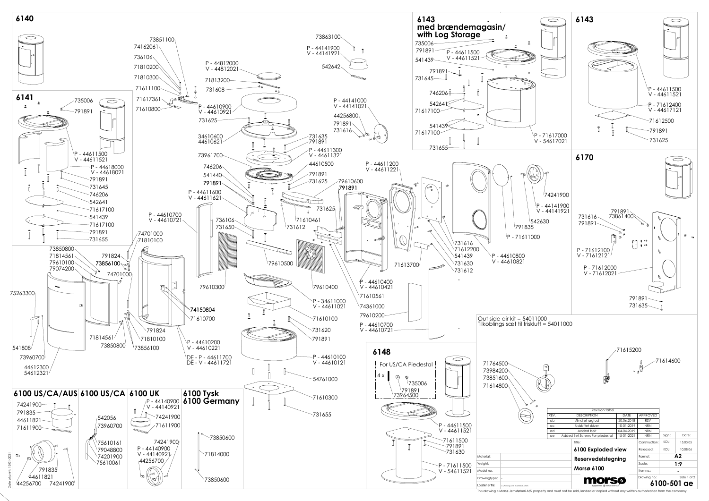

This drawing is Morsø Jernstøberi A/S' property and must not be sold, lended or copied without any written authorization from the company.